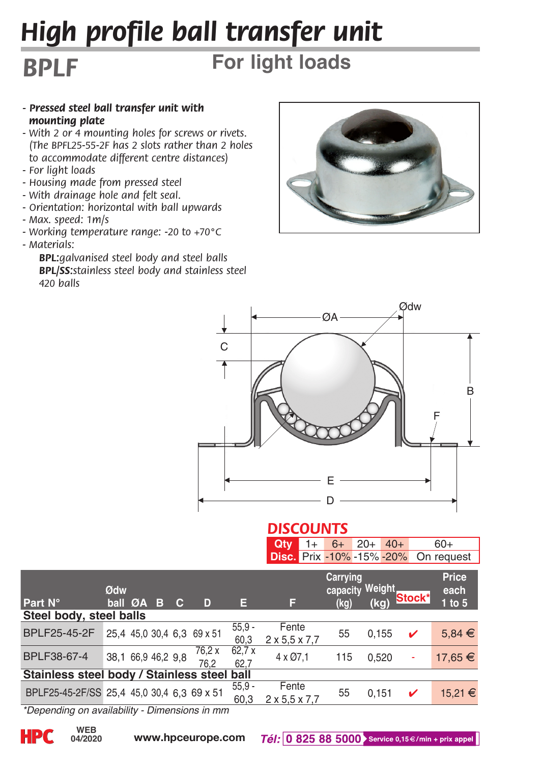# *High profile ball transfer unit*

## **For light loads**

- *Pressed steel ball transfer unit with mounting plate*
- *With 2 or 4 mounting holes for screws or rivets. (The BPFL25-55-2F has 2 slots rather than 2 holes to accommodate different centre distances)*
- *For light loads*

*BPLF*

- *Housing made from pressed steel*
- *With drainage hole and felt seal.*
- *Orientation: horizontal with ball upwards*
- *Max. speed: 1m/s*
- *Working temperature range: -20 to +70°C*
- *Materials:*

 *BPL:galvanised steel body and steel balls BPL/SS:stainless steel body and stainless steel 420 balls*





#### *DISCOUNTS*

|  |  | <b>Qty</b> 1+ 6+ 20+ 40+ 60+<br><b>Disc.</b> Prix -10% -15% -20% On request |
|--|--|-----------------------------------------------------------------------------|
|  |  |                                                                             |

| <b>Part N°</b>                                                  | Ødw<br>ball ØA     |  | - 13 | c | D                          | Е                | F                                  | Carrying<br>capacity Weight<br>(kg) | (kq)  | Stock* | Price<br>each<br>$1$ to $5$ |
|-----------------------------------------------------------------|--------------------|--|------|---|----------------------------|------------------|------------------------------------|-------------------------------------|-------|--------|-----------------------------|
| Steel body, steel balls                                         |                    |  |      |   |                            |                  |                                    |                                     |       |        |                             |
| BPLF25-45-2F                                                    |                    |  |      |   | 25,4 45,0 30,4 6.3 69 x 51 | $55.9 -$<br>60.3 | Fente<br>$2 \times 5.5 \times 7.7$ | 55                                  | 0.155 | v      | $5,84 \in$                  |
| BPLF38-67-4                                                     | 38,1 66,9 46,2 9,8 |  |      |   | 76.2 x<br>76.2             | 62.7x<br>62.7    | 4 x Ø7.1                           | 115                                 | 0.520 | ٠      | 17.65 €                     |
| Stainless steel body / Stainless steel ball                     |                    |  |      |   |                            |                  |                                    |                                     |       |        |                             |
| BPLF25-45-2F/SS 25,4 45,0 30,4 6.3 69 x 51<br><b>ALCOHOL: 1</b> |                    |  | $-1$ |   |                            | $55.9 -$<br>60.3 | Fente<br>$2 \times 5.5 \times 7.7$ | 55                                  | 0.151 | ✓      | 15.21 €                     |

*\*Depending on availability - Dimensions in mm*